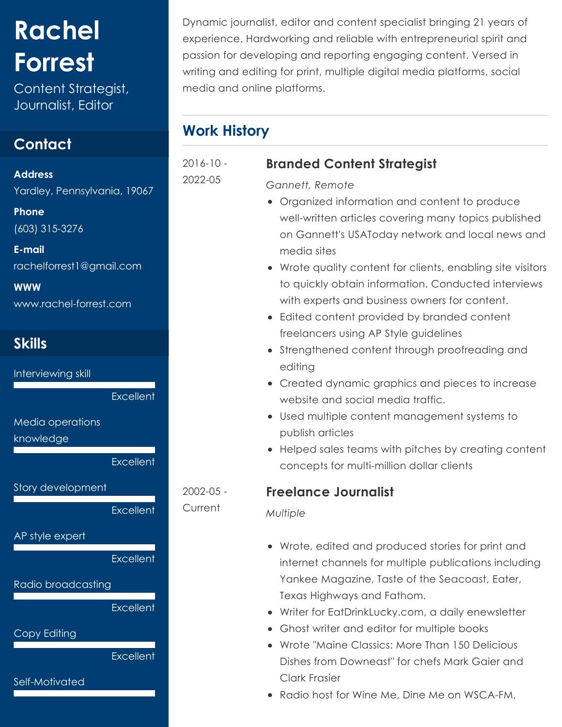# **Rachel Forrest**

Content Strategist, Journalist, Editor

## **Contact**

**Address** Yardley, Pennsylvania, 19067

**Phone** (603) 315-3276

**E-mail** rachelforrest1@gmail.com

**WWW** [www.rachel-forrest.com](https://www.rachel-forrest.com/)

# **Skills**

Interviewing skill

**Excellent** 

Media operations

knowledge

**Excellent** 

Story development

**Excellent** 

AP style expert

**Excellent** 

Radio broadcasting

**Excellent** 

Copy Editing

**Excellent** 

Self-Motivated

Dynamic journalist, editor and content specialist bringing 21 years of experience. Hardworking and reliable with entrepreneurial spirit and passion for developing and reporting engaging content. Versed in writing and editing for print, multiple digital media platforms, social media and online platforms.

# **Work History**

2016-10 -

2022-05

2002-05 - Current

# **Branded Content Strategist**

*Gannett, Remote*

- Organized information and content to produce well-written articles covering many topics published on Gannett's USAToday network and local news and media sites
- Wrote quality content for clients, enabling site visitors to quickly obtain information. Conducted interviews with experts and business owners for content.
- Edited content provided by branded content freelancers using AP Style guidelines
- Strengthened content through proofreading and editing
- Created dynamic graphics and pieces to increase website and social media traffic.
- Used multiple content management systems to publish articles
- Helped sales teams with pitches by creating content concepts for multi-million dollar clients

### **Freelance Journalist**

#### *Multiple*

- Wrote, edited and produced stories for print and internet channels for multiple publications including Yankee Magazine, Taste of the Seacoast, Eater, Texas Highways and Fathom.
- Writer for EatDrinkLucky.com, a daily enewsletter
- Ghost writer and editor for multiple books
- Wrote "Maine Classics: More Than 150 Delicious Dishes from Downeast" for chefs Mark Gaier and Clark Frasier
- Radio host for Wine Me, Dine Me on WSCA-FM,